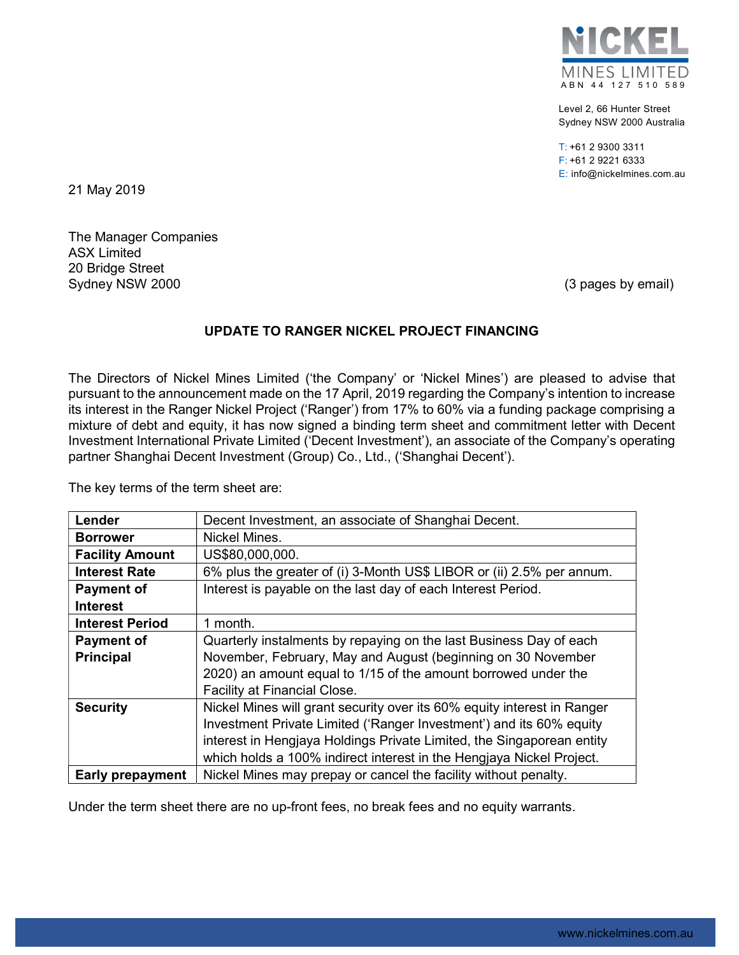

Level 2, 66 Hunter Street Sydney NSW 2000 Australia

T: +61 2 9300 3311 F: +61 2 9221 6333 E: info@nickelmines.com.au

21 May 2019

The Manager Companies ASX Limited 20 Bridge Street Sydney NSW 2000 (3 pages by email)

## UPDATE TO RANGER NICKEL PROJECT FINANCING

The Directors of Nickel Mines Limited ('the Company' or 'Nickel Mines') are pleased to advise that pursuant to the announcement made on the 17 April, 2019 regarding the Company's intention to increase its interest in the Ranger Nickel Project ('Ranger') from 17% to 60% via a funding package comprising a mixture of debt and equity, it has now signed a binding term sheet and commitment letter with Decent Investment International Private Limited ('Decent Investment'), an associate of the Company's operating partner Shanghai Decent Investment (Group) Co., Ltd., ('Shanghai Decent').

The key terms of the term sheet are:

| Lender                  | Decent Investment, an associate of Shanghai Decent.                     |
|-------------------------|-------------------------------------------------------------------------|
| <b>Borrower</b>         | Nickel Mines.                                                           |
| <b>Facility Amount</b>  | US\$80,000,000.                                                         |
| <b>Interest Rate</b>    | 6% plus the greater of (i) 3-Month US\$ LIBOR or (ii) 2.5% per annum.   |
| <b>Payment of</b>       | Interest is payable on the last day of each Interest Period.            |
| <b>Interest</b>         |                                                                         |
| <b>Interest Period</b>  | 1 month.                                                                |
| <b>Payment of</b>       | Quarterly instalments by repaying on the last Business Day of each      |
| <b>Principal</b>        | November, February, May and August (beginning on 30 November            |
|                         | 2020) an amount equal to 1/15 of the amount borrowed under the          |
|                         | <b>Facility at Financial Close.</b>                                     |
| <b>Security</b>         | Nickel Mines will grant security over its 60% equity interest in Ranger |
|                         | Investment Private Limited ('Ranger Investment') and its 60% equity     |
|                         | interest in Hengjaya Holdings Private Limited, the Singaporean entity   |
|                         | which holds a 100% indirect interest in the Hengjaya Nickel Project.    |
| <b>Early prepayment</b> | Nickel Mines may prepay or cancel the facility without penalty.         |

Under the term sheet there are no up-front fees, no break fees and no equity warrants.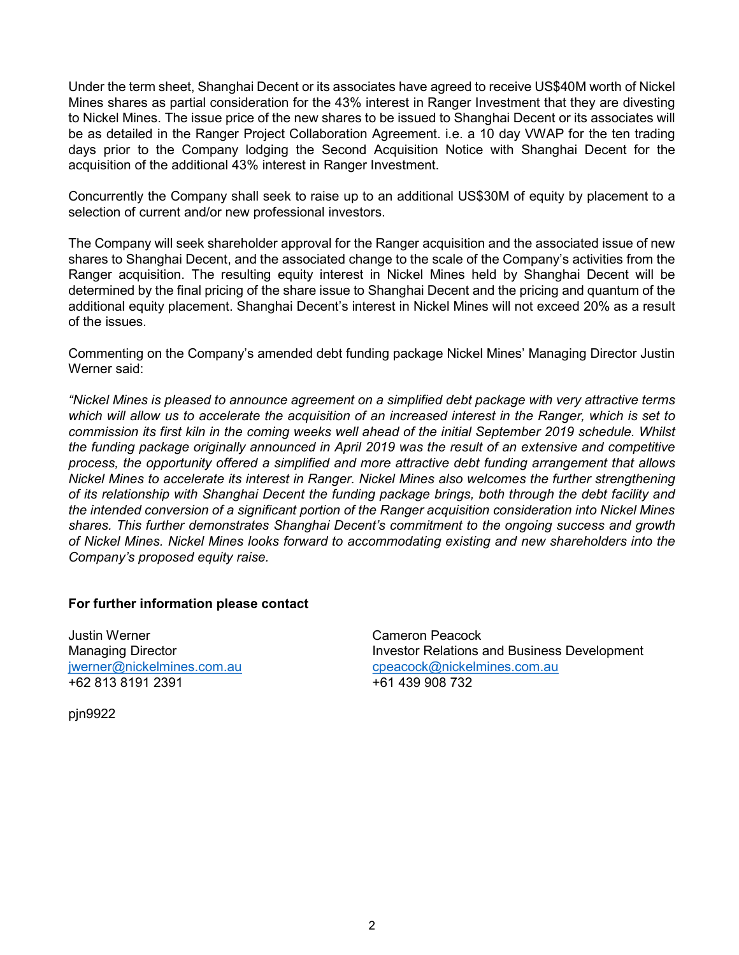Under the term sheet, Shanghai Decent or its associates have agreed to receive US\$40M worth of Nickel Mines shares as partial consideration for the 43% interest in Ranger Investment that they are divesting to Nickel Mines. The issue price of the new shares to be issued to Shanghai Decent or its associates will be as detailed in the Ranger Project Collaboration Agreement. i.e. a 10 day VWAP for the ten trading days prior to the Company lodging the Second Acquisition Notice with Shanghai Decent for the acquisition of the additional 43% interest in Ranger Investment.

Concurrently the Company shall seek to raise up to an additional US\$30M of equity by placement to a selection of current and/or new professional investors.

The Company will seek shareholder approval for the Ranger acquisition and the associated issue of new shares to Shanghai Decent, and the associated change to the scale of the Company's activities from the Ranger acquisition. The resulting equity interest in Nickel Mines held by Shanghai Decent will be determined by the final pricing of the share issue to Shanghai Decent and the pricing and quantum of the additional equity placement. Shanghai Decent's interest in Nickel Mines will not exceed 20% as a result of the issues.

Commenting on the Company's amended debt funding package Nickel Mines' Managing Director Justin Werner said:

"Nickel Mines is pleased to announce agreement on a simplified debt package with very attractive terms which will allow us to accelerate the acquisition of an increased interest in the Ranger, which is set to commission its first kiln in the coming weeks well ahead of the initial September 2019 schedule. Whilst the funding package originally announced in April 2019 was the result of an extensive and competitive process, the opportunity offered a simplified and more attractive debt funding arrangement that allows Nickel Mines to accelerate its interest in Ranger. Nickel Mines also welcomes the further strengthening of its relationship with Shanghai Decent the funding package brings, both through the debt facility and the intended conversion of a significant portion of the Ranger acquisition consideration into Nickel Mines shares. This further demonstrates Shanghai Decent's commitment to the ongoing success and growth of Nickel Mines. Nickel Mines looks forward to accommodating existing and new shareholders into the Company's proposed equity raise.

## For further information please contact

Justin Werner Cameron Peacock +62 813 8191 2391 +61 439 908 732

Managing Director **Investor Relations and Business Development** jwerner@nickelmines.com.au cpeacock@nickelmines.com.au

pjn9922